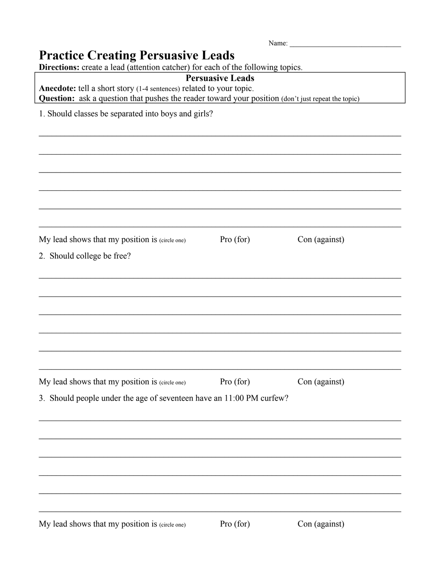Name:

## **Practice Creating Persuasive Leads**<br>**Directions:** create a lead (attention catcher) for each of the

 $f_0$ lloy  $\mathbf{r}$  $\sim 4.5$ 

|                                                                                                                                                                                                                                  | <b>Directions:</b> create a lead (attention catcher) for each of the following topics.<br><b>Persuasive Leads</b> |               |  |  |  |  |  |  |
|----------------------------------------------------------------------------------------------------------------------------------------------------------------------------------------------------------------------------------|-------------------------------------------------------------------------------------------------------------------|---------------|--|--|--|--|--|--|
| Anecdote: tell a short story (1-4 sentences) related to your topic.<br>Question: ask a question that pushes the reader toward your position (don't just repeat the topic)<br>1. Should classes be separated into boys and girls? |                                                                                                                   |               |  |  |  |  |  |  |
|                                                                                                                                                                                                                                  |                                                                                                                   |               |  |  |  |  |  |  |
|                                                                                                                                                                                                                                  |                                                                                                                   |               |  |  |  |  |  |  |
|                                                                                                                                                                                                                                  |                                                                                                                   |               |  |  |  |  |  |  |
|                                                                                                                                                                                                                                  |                                                                                                                   |               |  |  |  |  |  |  |
|                                                                                                                                                                                                                                  |                                                                                                                   |               |  |  |  |  |  |  |
|                                                                                                                                                                                                                                  |                                                                                                                   |               |  |  |  |  |  |  |
|                                                                                                                                                                                                                                  |                                                                                                                   |               |  |  |  |  |  |  |
|                                                                                                                                                                                                                                  |                                                                                                                   |               |  |  |  |  |  |  |
|                                                                                                                                                                                                                                  |                                                                                                                   |               |  |  |  |  |  |  |
|                                                                                                                                                                                                                                  |                                                                                                                   |               |  |  |  |  |  |  |
| My lead shows that my position is (circle one)                                                                                                                                                                                   | Pro (for)                                                                                                         | Con (against) |  |  |  |  |  |  |
| 2. Should college be free?                                                                                                                                                                                                       |                                                                                                                   |               |  |  |  |  |  |  |
|                                                                                                                                                                                                                                  |                                                                                                                   |               |  |  |  |  |  |  |
|                                                                                                                                                                                                                                  |                                                                                                                   |               |  |  |  |  |  |  |
|                                                                                                                                                                                                                                  |                                                                                                                   |               |  |  |  |  |  |  |
|                                                                                                                                                                                                                                  |                                                                                                                   |               |  |  |  |  |  |  |
|                                                                                                                                                                                                                                  |                                                                                                                   |               |  |  |  |  |  |  |
|                                                                                                                                                                                                                                  |                                                                                                                   |               |  |  |  |  |  |  |
|                                                                                                                                                                                                                                  |                                                                                                                   |               |  |  |  |  |  |  |
|                                                                                                                                                                                                                                  |                                                                                                                   |               |  |  |  |  |  |  |
|                                                                                                                                                                                                                                  |                                                                                                                   |               |  |  |  |  |  |  |
|                                                                                                                                                                                                                                  |                                                                                                                   |               |  |  |  |  |  |  |
| My lead shows that my position is (circle one)                                                                                                                                                                                   | Pro (for)                                                                                                         | Con (against) |  |  |  |  |  |  |
| 3. Should people under the age of seventeen have an 11:00 PM curfew?                                                                                                                                                             |                                                                                                                   |               |  |  |  |  |  |  |
|                                                                                                                                                                                                                                  |                                                                                                                   |               |  |  |  |  |  |  |
|                                                                                                                                                                                                                                  |                                                                                                                   |               |  |  |  |  |  |  |
|                                                                                                                                                                                                                                  |                                                                                                                   |               |  |  |  |  |  |  |
|                                                                                                                                                                                                                                  |                                                                                                                   |               |  |  |  |  |  |  |
|                                                                                                                                                                                                                                  |                                                                                                                   |               |  |  |  |  |  |  |
|                                                                                                                                                                                                                                  |                                                                                                                   |               |  |  |  |  |  |  |
|                                                                                                                                                                                                                                  |                                                                                                                   |               |  |  |  |  |  |  |
|                                                                                                                                                                                                                                  |                                                                                                                   |               |  |  |  |  |  |  |
|                                                                                                                                                                                                                                  |                                                                                                                   |               |  |  |  |  |  |  |
|                                                                                                                                                                                                                                  |                                                                                                                   |               |  |  |  |  |  |  |